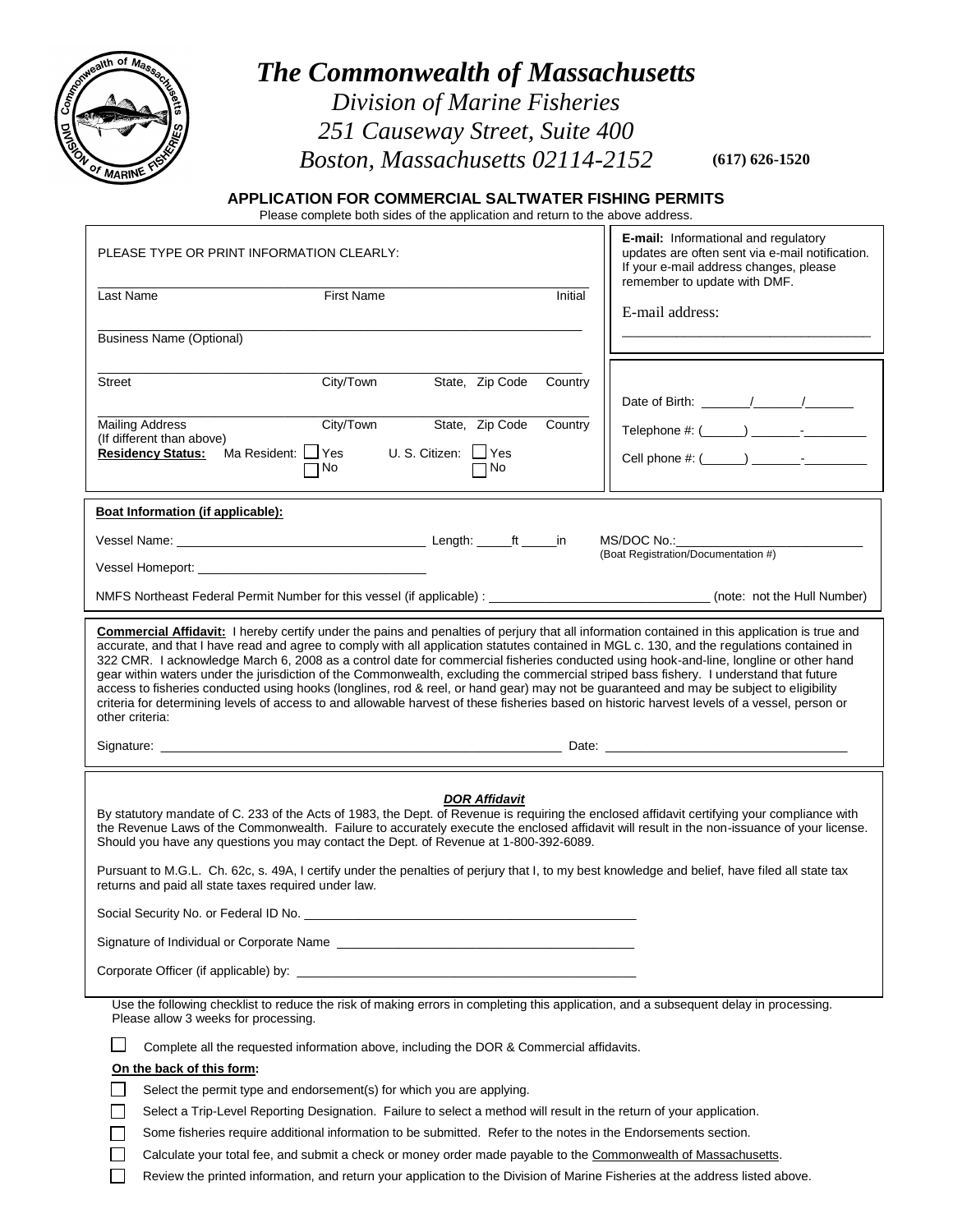

## *The Commonwealth of Massachusetts Division of Marine Fisheries*

*251 Causeway Street, Suite 400 Boston, Massachusetts 02114-2152*

**(617) 626-1520**

## **APPLICATION FOR COMMERCIAL SALTWATER FISHING PERMITS**

Please complete both sides of the application and return to the above address.

| PLEASE TYPE OR PRINT INFORMATION CLEARLY:                                                                   |                                                                                                                                |                                              |         | <b>E-mail:</b> Informational and regulatory<br>updates are often sent via e-mail notification.<br>If your e-mail address changes, please                                                                                                                                                                                                                                                                                                                                                                                                                                                                                                                                                                                                                                                                                                                                           |
|-------------------------------------------------------------------------------------------------------------|--------------------------------------------------------------------------------------------------------------------------------|----------------------------------------------|---------|------------------------------------------------------------------------------------------------------------------------------------------------------------------------------------------------------------------------------------------------------------------------------------------------------------------------------------------------------------------------------------------------------------------------------------------------------------------------------------------------------------------------------------------------------------------------------------------------------------------------------------------------------------------------------------------------------------------------------------------------------------------------------------------------------------------------------------------------------------------------------------|
| Last Name                                                                                                   | <b>First Name</b>                                                                                                              |                                              | Initial | remember to update with DMF.<br>E-mail address:                                                                                                                                                                                                                                                                                                                                                                                                                                                                                                                                                                                                                                                                                                                                                                                                                                    |
| <b>Business Name (Optional)</b>                                                                             |                                                                                                                                |                                              |         |                                                                                                                                                                                                                                                                                                                                                                                                                                                                                                                                                                                                                                                                                                                                                                                                                                                                                    |
| <b>Street</b>                                                                                               | City/Town                                                                                                                      | State, Zip Code                              | Country |                                                                                                                                                                                                                                                                                                                                                                                                                                                                                                                                                                                                                                                                                                                                                                                                                                                                                    |
| <b>Mailing Address</b><br>(If different than above)<br><b>Residency Status:</b>                             | City/Town<br>Ma Resident:   Yes                                                                                                | State, Zip Code<br>U. S. Citizen: $\Box$ Yes | Country |                                                                                                                                                                                                                                                                                                                                                                                                                                                                                                                                                                                                                                                                                                                                                                                                                                                                                    |
|                                                                                                             | ٦No                                                                                                                            | $\Box$ No                                    |         |                                                                                                                                                                                                                                                                                                                                                                                                                                                                                                                                                                                                                                                                                                                                                                                                                                                                                    |
| Boat Information (if applicable):                                                                           |                                                                                                                                |                                              |         |                                                                                                                                                                                                                                                                                                                                                                                                                                                                                                                                                                                                                                                                                                                                                                                                                                                                                    |
|                                                                                                             |                                                                                                                                |                                              |         | MS/DOC No.:<br>(Boat Registration/Documentation #)                                                                                                                                                                                                                                                                                                                                                                                                                                                                                                                                                                                                                                                                                                                                                                                                                                 |
|                                                                                                             |                                                                                                                                |                                              |         |                                                                                                                                                                                                                                                                                                                                                                                                                                                                                                                                                                                                                                                                                                                                                                                                                                                                                    |
|                                                                                                             |                                                                                                                                |                                              |         | NMFS Northeast Federal Permit Number for this vessel (if applicable) : __________________________________(note: not the Hull Number)                                                                                                                                                                                                                                                                                                                                                                                                                                                                                                                                                                                                                                                                                                                                               |
| other criteria:                                                                                             |                                                                                                                                |                                              |         | <b>Commercial Affidavit:</b> I hereby certify under the pains and penalties of perjury that all information contained in this application is true and<br>accurate, and that I have read and agree to comply with all application statutes contained in MGL c. 130, and the regulations contained in<br>322 CMR. I acknowledge March 6, 2008 as a control date for commercial fisheries conducted using hook-and-line, longline or other hand<br>gear within waters under the jurisdiction of the Commonwealth, excluding the commercial striped bass fishery. I understand that future<br>access to fisheries conducted using hooks (longlines, rod & reel, or hand gear) may not be guaranteed and may be subject to eligibility<br>criteria for determining levels of access to and allowable harvest of these fisheries based on historic harvest levels of a vessel, person or |
|                                                                                                             |                                                                                                                                |                                              |         |                                                                                                                                                                                                                                                                                                                                                                                                                                                                                                                                                                                                                                                                                                                                                                                                                                                                                    |
| returns and paid all state taxes required under law.<br>Social Security No. or Federal ID No. _____________ | Should you have any questions you may contact the Dept. of Revenue at 1-800-392-6089.<br>Corporate Officer (if applicable) by: | <b>DOR Affidavit</b>                         |         | By statutory mandate of C. 233 of the Acts of 1983, the Dept. of Revenue is requiring the enclosed affidavit certifying your compliance with<br>the Revenue Laws of the Commonwealth. Failure to accurately execute the enclosed affidavit will result in the non-issuance of your license.<br>Pursuant to M.G.L. Ch. 62c, s. 49A, I certify under the penalties of perjury that I, to my best knowledge and belief, have filed all state tax                                                                                                                                                                                                                                                                                                                                                                                                                                      |
| Please allow 3 weeks for processing.                                                                        |                                                                                                                                |                                              |         | Use the following checklist to reduce the risk of making errors in completing this application, and a subsequent delay in processing.                                                                                                                                                                                                                                                                                                                                                                                                                                                                                                                                                                                                                                                                                                                                              |
|                                                                                                             | Complete all the requested information above, including the DOR & Commercial affidavits.                                       |                                              |         |                                                                                                                                                                                                                                                                                                                                                                                                                                                                                                                                                                                                                                                                                                                                                                                                                                                                                    |
| On the back of this form:                                                                                   |                                                                                                                                |                                              |         |                                                                                                                                                                                                                                                                                                                                                                                                                                                                                                                                                                                                                                                                                                                                                                                                                                                                                    |
|                                                                                                             | Select the permit type and endorsement(s) for which you are applying.                                                          |                                              |         |                                                                                                                                                                                                                                                                                                                                                                                                                                                                                                                                                                                                                                                                                                                                                                                                                                                                                    |
|                                                                                                             | Select a Trip-Level Reporting Designation. Failure to select a method will result in the return of your application.           |                                              |         |                                                                                                                                                                                                                                                                                                                                                                                                                                                                                                                                                                                                                                                                                                                                                                                                                                                                                    |
|                                                                                                             | Some fisheries require additional information to be submitted. Refer to the notes in the Endorsements section.                 |                                              |         |                                                                                                                                                                                                                                                                                                                                                                                                                                                                                                                                                                                                                                                                                                                                                                                                                                                                                    |

 $\Box$ 

Calculate your total fee, and submit a check or money order made payable to the Commonwealth of Massachusetts.

 $\Box$ Review the printed information, and return your application to the Division of Marine Fisheries at the address listed above.